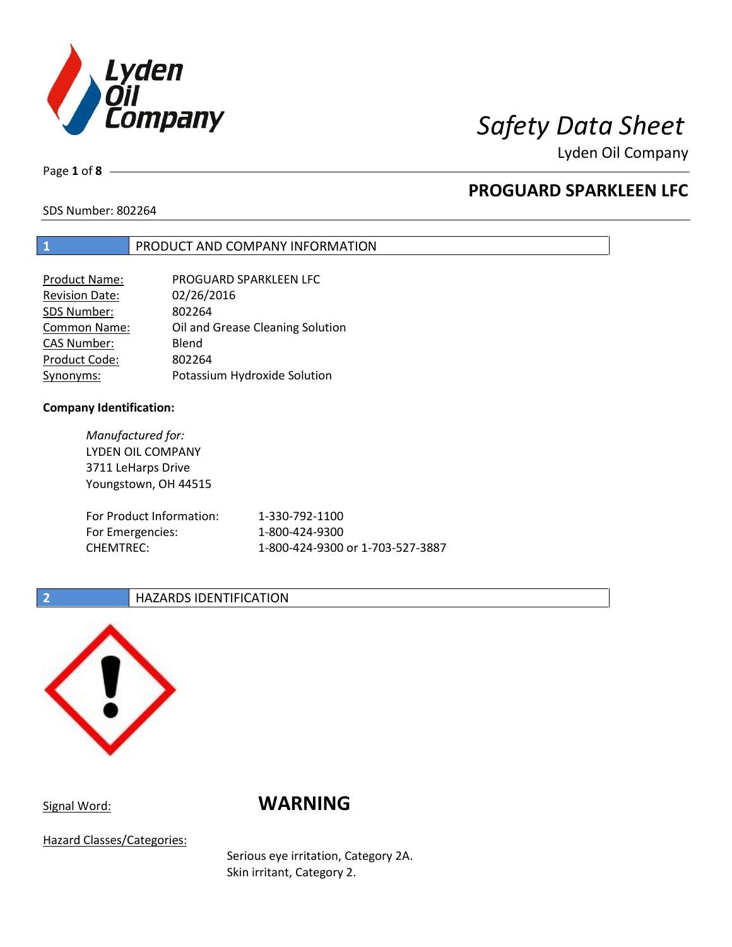

Lyden Oil Company

Page **1** of **8**

# **PROGUARD SPARKLEEN LFC**

SDS Number: 802264

## **1** PRODUCT AND COMPANY INFORMATION

| Product Name:         | PROGUARD SPARKLEEN LFC           |
|-----------------------|----------------------------------|
| <b>Revision Date:</b> | 02/26/2016                       |
| SDS Number:           | 802264                           |
| Common Name:          | Oil and Grease Cleaning Solution |
| <b>CAS Number:</b>    | Blend                            |
| Product Code:         | 802264                           |
| Synonyms:             | Potassium Hydroxide Solution     |

### **Company Identification:**

*Manufactured for:* LYDEN OIL COMPANY 3711 LeHarps Drive Youngstown, OH 44515 For Product Information: 1-330-792-1100 For Emergencies: 1-800-424-9300 CHEMTREC: 1-800-424-9300 or 1-703-527-3887

### **2 HAZARDS IDENTIFICATION**



# Signal Word: **WARNING**

Hazard Classes/Categories:

Serious eye irritation, Category 2A. Skin irritant, Category 2.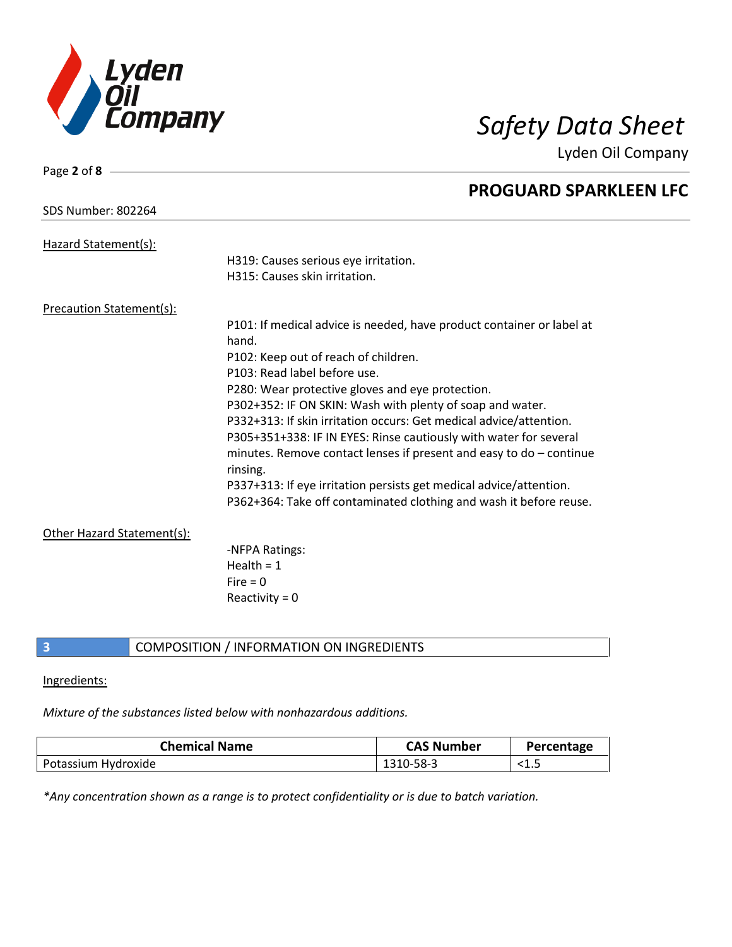

Lyden Oil Company

| Page 2 of 8 $-$                 |                                                                                   |
|---------------------------------|-----------------------------------------------------------------------------------|
|                                 | <b>PROGUARD SPARKLEEN LFC</b>                                                     |
| <b>SDS Number: 802264</b>       |                                                                                   |
| Hazard Statement(s):            |                                                                                   |
|                                 | H319: Causes serious eye irritation.                                              |
|                                 | H315: Causes skin irritation.                                                     |
| <b>Precaution Statement(s):</b> |                                                                                   |
|                                 | P101: If medical advice is needed, have product container or label at             |
|                                 | hand.                                                                             |
|                                 | P102: Keep out of reach of children.                                              |
|                                 | P103: Read label before use.                                                      |
|                                 | P280: Wear protective gloves and eye protection.                                  |
|                                 | P302+352: IF ON SKIN: Wash with plenty of soap and water.                         |
|                                 | P332+313: If skin irritation occurs: Get medical advice/attention.                |
|                                 | P305+351+338: IF IN EYES: Rinse cautiously with water for several                 |
|                                 | minutes. Remove contact lenses if present and easy to $do$ – continue<br>rinsing. |
|                                 | P337+313: If eye irritation persists get medical advice/attention.                |
|                                 | P362+364: Take off contaminated clothing and wash it before reuse.                |
| Other Hazard Statement(s):      |                                                                                   |
|                                 | -NFPA Ratings:                                                                    |
|                                 | Health = $1$                                                                      |
|                                 | $Fire = 0$                                                                        |
|                                 | Reactivity = $0$                                                                  |
|                                 |                                                                                   |

# **3** COMPOSITION / INFORMATION ON INGREDIENTS

### Ingredients:

# *Mixture of the substances listed below with nonhazardous additions.*

| <b>Chemical Name</b> | <b>CAS Number</b> | Percentage |
|----------------------|-------------------|------------|
| Potassium Hydroxide  | 1310-58-3         | ີ⊥∙        |

*\*Any concentration shown as a range is to protect confidentiality or is due to batch variation.*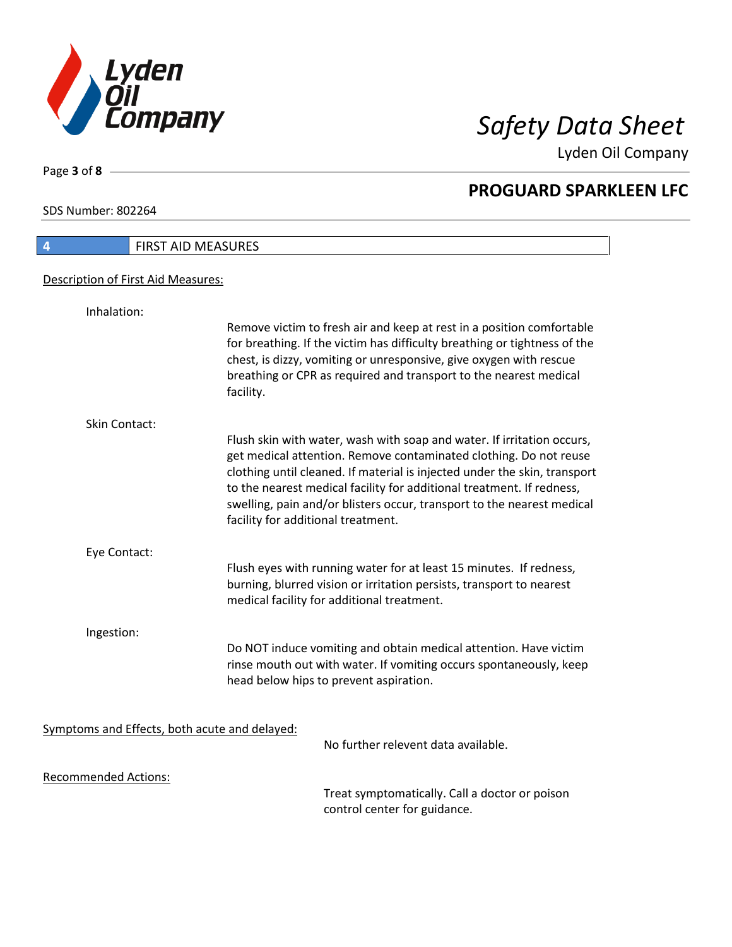

Lyden Oil Company

SDS Number: 802264

Page **3** of **8**

| 4                                             | FIRST AID MEASURES                                                                                                                                                                                                                                                                                                                                                                                                |
|-----------------------------------------------|-------------------------------------------------------------------------------------------------------------------------------------------------------------------------------------------------------------------------------------------------------------------------------------------------------------------------------------------------------------------------------------------------------------------|
| Description of First Aid Measures:            |                                                                                                                                                                                                                                                                                                                                                                                                                   |
| Inhalation:                                   |                                                                                                                                                                                                                                                                                                                                                                                                                   |
|                                               | Remove victim to fresh air and keep at rest in a position comfortable<br>for breathing. If the victim has difficulty breathing or tightness of the<br>chest, is dizzy, vomiting or unresponsive, give oxygen with rescue<br>breathing or CPR as required and transport to the nearest medical<br>facility.                                                                                                        |
| Skin Contact:                                 |                                                                                                                                                                                                                                                                                                                                                                                                                   |
|                                               | Flush skin with water, wash with soap and water. If irritation occurs,<br>get medical attention. Remove contaminated clothing. Do not reuse<br>clothing until cleaned. If material is injected under the skin, transport<br>to the nearest medical facility for additional treatment. If redness,<br>swelling, pain and/or blisters occur, transport to the nearest medical<br>facility for additional treatment. |
| Eye Contact:                                  |                                                                                                                                                                                                                                                                                                                                                                                                                   |
|                                               | Flush eyes with running water for at least 15 minutes. If redness,<br>burning, blurred vision or irritation persists, transport to nearest<br>medical facility for additional treatment.                                                                                                                                                                                                                          |
| Ingestion:                                    |                                                                                                                                                                                                                                                                                                                                                                                                                   |
|                                               | Do NOT induce vomiting and obtain medical attention. Have victim<br>rinse mouth out with water. If vomiting occurs spontaneously, keep<br>head below hips to prevent aspiration.                                                                                                                                                                                                                                  |
| Symptoms and Effects, both acute and delayed: |                                                                                                                                                                                                                                                                                                                                                                                                                   |
|                                               | No further relevent data available.                                                                                                                                                                                                                                                                                                                                                                               |
| <b>Recommended Actions:</b>                   |                                                                                                                                                                                                                                                                                                                                                                                                                   |
|                                               | Troat cumptomatically. Call a doctor or noison                                                                                                                                                                                                                                                                                                                                                                    |

Treat symptomatically. Call a doctor or poison control center for guidance.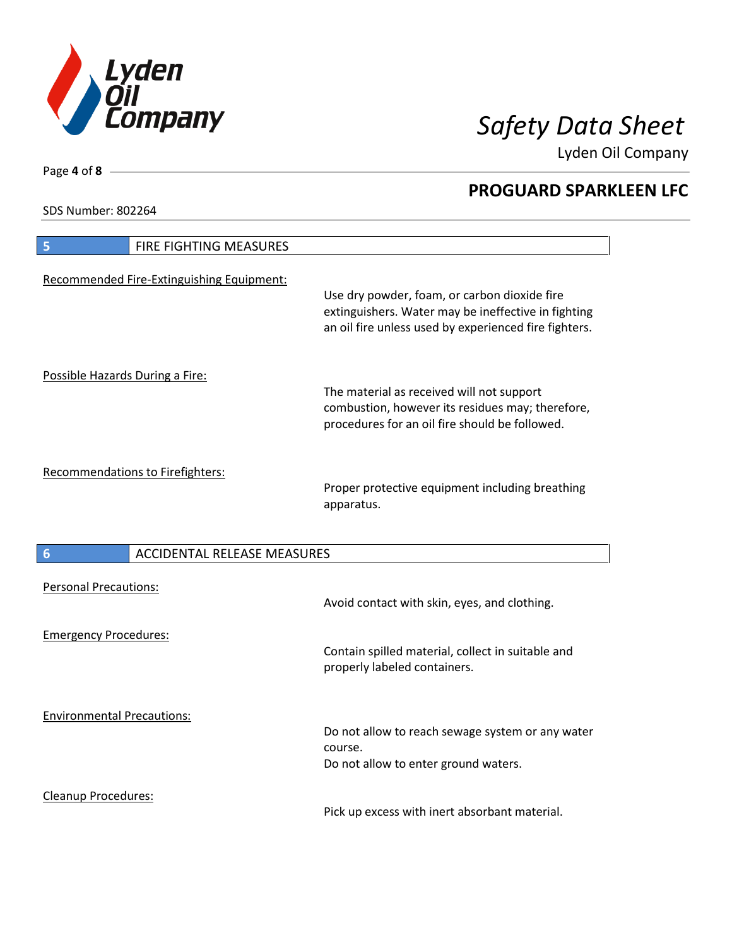

Lyden Oil Company

SDS Number: 802264

| <b>FIRE FIGHTING MEASURES</b><br>5                    |                                                                                                                                                              |
|-------------------------------------------------------|--------------------------------------------------------------------------------------------------------------------------------------------------------------|
| Recommended Fire-Extinguishing Equipment:             | Use dry powder, foam, or carbon dioxide fire<br>extinguishers. Water may be ineffective in fighting<br>an oil fire unless used by experienced fire fighters. |
| Possible Hazards During a Fire:                       | The material as received will not support<br>combustion, however its residues may; therefore,<br>procedures for an oil fire should be followed.              |
| Recommendations to Firefighters:                      | Proper protective equipment including breathing<br>apparatus.                                                                                                |
| <b>ACCIDENTAL RELEASE MEASURES</b><br>$6\phantom{1}6$ |                                                                                                                                                              |
| <b>Personal Precautions:</b>                          | Avoid contact with skin, eyes, and clothing.                                                                                                                 |
| <b>Emergency Procedures:</b>                          | Contain spilled material, collect in suitable and<br>properly labeled containers.                                                                            |
| <b>Environmental Precautions:</b>                     | Do not allow to reach sewage system or any water<br>course.<br>Do not allow to enter ground waters.                                                          |
| <b>Cleanup Procedures:</b>                            |                                                                                                                                                              |

Pick up excess with inert absorbant material.

Page **4** of **8**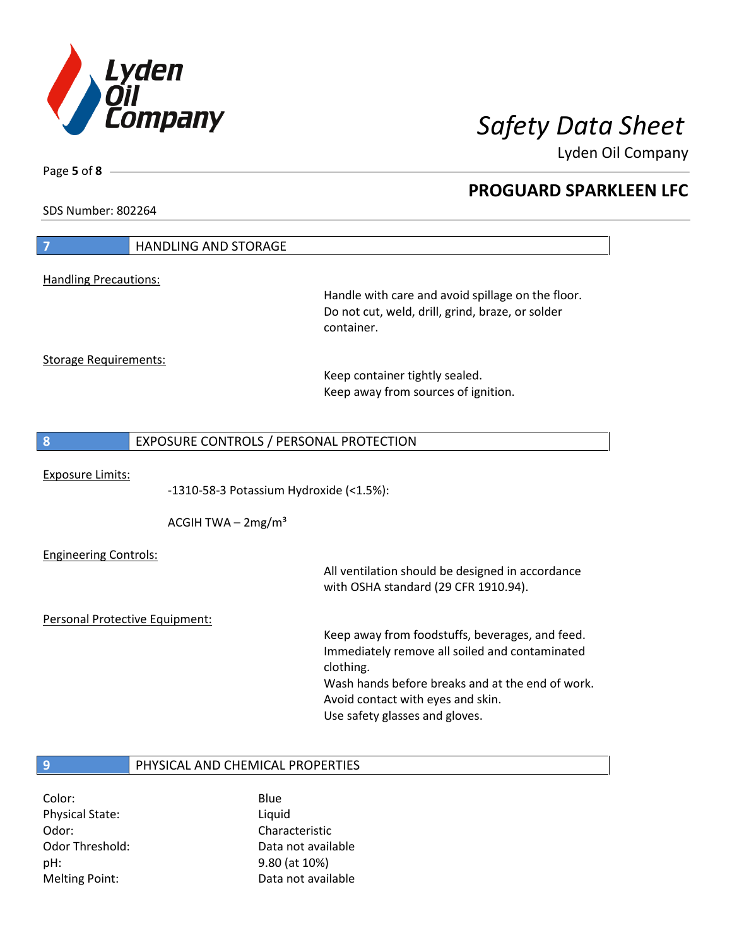

Lyden Oil Company

SDS Number: 802264

Page **5** of **8**

| 7                              | <b>HANDLING AND STORAGE</b>             |                                                   |
|--------------------------------|-----------------------------------------|---------------------------------------------------|
|                                |                                         |                                                   |
| <b>Handling Precautions:</b>   |                                         | Handle with care and avoid spillage on the floor. |
|                                |                                         | Do not cut, weld, drill, grind, braze, or solder  |
|                                |                                         | container.                                        |
|                                |                                         |                                                   |
| <b>Storage Requirements:</b>   |                                         | Keep container tightly sealed.                    |
|                                |                                         | Keep away from sources of ignition.               |
|                                |                                         |                                                   |
|                                |                                         |                                                   |
| 8                              | EXPOSURE CONTROLS / PERSONAL PROTECTION |                                                   |
| <b>Exposure Limits:</b>        |                                         |                                                   |
|                                | -1310-58-3 Potassium Hydroxide (<1.5%): |                                                   |
|                                |                                         |                                                   |
|                                | ACGIH TWA $-2mg/m3$                     |                                                   |
| <b>Engineering Controls:</b>   |                                         |                                                   |
|                                |                                         | All ventilation should be designed in accordance  |
|                                |                                         | with OSHA standard (29 CFR 1910.94).              |
| Personal Protective Equipment: |                                         |                                                   |
|                                |                                         | Keep away from foodstuffs, beverages, and feed.   |
|                                |                                         | Immediately remove all soiled and contaminated    |
|                                |                                         | clothing.                                         |
|                                |                                         | Wash hands before breaks and at the end of work.  |
|                                |                                         | Avoid contact with eyes and skin.                 |
|                                |                                         | Use safety glasses and gloves.                    |
|                                |                                         |                                                   |
| 9                              | PHYSICAL AND CHEMICAL PROPERTIES        |                                                   |
|                                |                                         |                                                   |

Color: Blue Physical State: Liquid Odor: Characteristic pH: 9.80 (at 10%)

Odor Threshold: Data not available Melting Point: Case Controller Muslim Data not available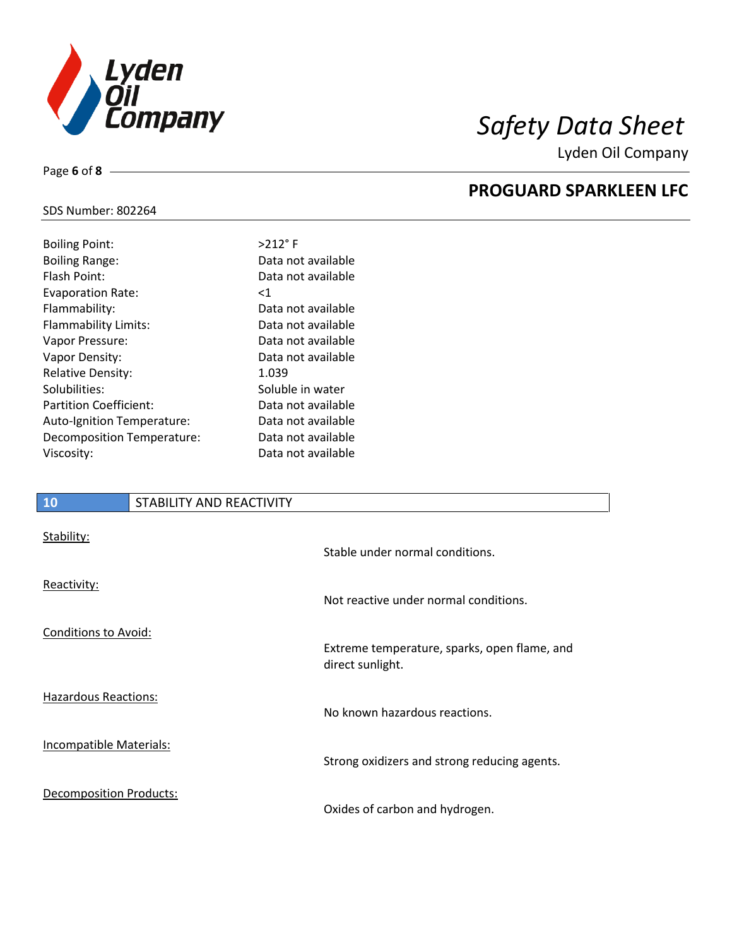

Lyden Oil Company

## SDS Number: 802264

Page **6** of **8**

| <b>Boiling Point:</b>         | $>212$ °F          |
|-------------------------------|--------------------|
| <b>Boiling Range:</b>         | Data not available |
| Flash Point:                  | Data not available |
| <b>Evaporation Rate:</b>      | $<$ 1              |
| Flammability:                 | Data not available |
| Flammability Limits:          | Data not available |
| Vapor Pressure:               | Data not available |
| Vapor Density:                | Data not available |
| <b>Relative Density:</b>      | 1.039              |
| Solubilities:                 | Soluble in water   |
| <b>Partition Coefficient:</b> | Data not available |
| Auto-Ignition Temperature:    | Data not available |
| Decomposition Temperature:    | Data not available |
| Viscosity:                    | Data not available |
|                               |                    |

## **10** STABILITY AND REACTIVITY

| Stability:                     | Stable under normal conditions.                                  |
|--------------------------------|------------------------------------------------------------------|
| Reactivity:                    | Not reactive under normal conditions.                            |
| Conditions to Avoid:           | Extreme temperature, sparks, open flame, and<br>direct sunlight. |
| Hazardous Reactions:           | No known hazardous reactions.                                    |
| <b>Incompatible Materials:</b> | Strong oxidizers and strong reducing agents.                     |
| Decomposition Products:        | Oxides of carbon and hydrogen.                                   |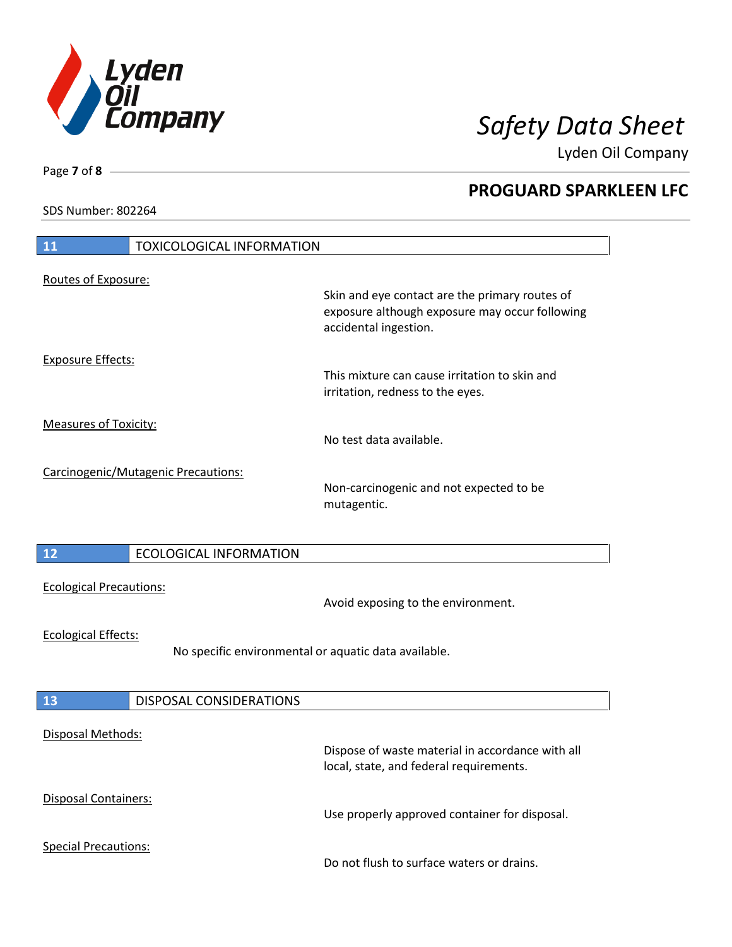

Lyden Oil Company

SDS Number: 802264

| <b>11</b><br><b>TOXICOLOGICAL INFORMATION</b>                                      |                                                                                                                           |
|------------------------------------------------------------------------------------|---------------------------------------------------------------------------------------------------------------------------|
| Routes of Exposure:                                                                | Skin and eye contact are the primary routes of<br>exposure although exposure may occur following<br>accidental ingestion. |
| <b>Exposure Effects:</b>                                                           | This mixture can cause irritation to skin and<br>irritation, redness to the eyes.                                         |
| <b>Measures of Toxicity:</b>                                                       | No test data available.                                                                                                   |
| Carcinogenic/Mutagenic Precautions:                                                | Non-carcinogenic and not expected to be<br>mutagentic.                                                                    |
| $12$<br><b>ECOLOGICAL INFORMATION</b>                                              |                                                                                                                           |
| <b>Ecological Precautions:</b>                                                     | Avoid exposing to the environment.                                                                                        |
| <b>Ecological Effects:</b><br>No specific environmental or aquatic data available. |                                                                                                                           |
| 13<br>DISPOSAL CONSIDERATIONS                                                      |                                                                                                                           |
| <b>Disposal Methods:</b>                                                           | Dispose of waste material in accordance with all<br>local, state, and federal requirements.                               |
| <b>Disposal Containers:</b>                                                        | Use properly approved container for disposal.                                                                             |
| <b>Special Precautions:</b>                                                        | Do not flush to surface waters or drains.                                                                                 |

Page **7** of **8**